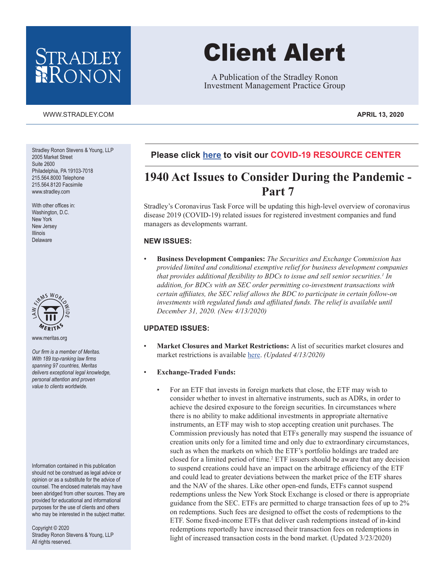## STRADLEY RONON

#### [WWW.STRADLEY.COM](www.stradley.com) **APRIL 13, 2020**

Stradley Ronon Stevens & Young, LLP 2005 Market Street Suite 2600 Philadelphia, PA 19103-7018 215.564.8000 Telephone 215.564.8120 Facsimile www.stradley.com

With other offices in: Washington, D.C. New York New Jersey Illinois Delaware



www.meritas.org

*Our firm is a member of Meritas. With 189 top-ranking law firms spanning 97 countries, Meritas delivers exceptional legal knowledge, personal attention and proven value to clients worldwide.*

Information contained in this publication should not be construed as legal advice or opinion or as a substitute for the advice of counsel. The enclosed materials may have been abridged from other sources. They are provided for educational and informational purposes for the use of clients and others who may be interested in the subject matter.

Copyright © 2020 Stradley Ronon Stevens & Young, LLP All rights reserved.

# Client Alert

A Publication of the Stradley Ronon Investment Management Practice Group

#### **Please click [here](https://www.stradley.com/insights/publications/covid19-resource-center) to visit our COVID-19 RESOURCE CENTER**

### **1940 Act Issues to Consider During the Pandemic - Part 7**

Stradley's Coronavirus Task Force will be updating this high-level overview of coronavirus disease 2019 (COVID-19) related issues for registered investment companies and fund managers as developments warrant.

#### **NEW ISSUES:**

• **Business Development Companies:** *The Securities and Exchange Commission has provided limited and conditional exemptive relief for business development companies that provides additional flexibility to BDCs to issue and sell senior securities.<sup>1</sup> In addition, for BDCs with an SEC order permitting co-investment transactions with certain affiliates, the SEC relief allows the BDC to participate in certain follow-on*  investments with regulated funds and affiliated funds. The relief is available until *December 31, 2020. (New 4/13/2020)*

#### **UPDATED ISSUES:**

• **Market Closures and Market Restrictions:** A list of securities market closures and market restrictions is available [here](https://www.stradley.com/-/media/images/2020/april/market-closures-and-restrictions--part7.pdf?la=en&hash=FA240361A81848BF55F86894DC81FE9B). *(Updated 4/13/2020)*

#### • **Exchange-Traded Funds:**

• For an ETF that invests in foreign markets that close, the ETF may wish to consider whether to invest in alternative instruments, such as ADRs, in order to achieve the desired exposure to the foreign securities. In circumstances where there is no ability to make additional investments in appropriate alternative instruments, an ETF may wish to stop accepting creation unit purchases. The Commission previously has noted that ETFs generally may suspend the issuance of creation units only for a limited time and only due to extraordinary circumstances, such as when the markets on which the ETF's portfolio holdings are traded are closed for a limited period of time.<sup>2</sup> ETF issuers should be aware that any decision to suspend creations could have an impact on the arbitrage efficiency of the ETF and could lead to greater deviations between the market price of the ETF shares and the NAV of the shares. Like other open-end funds, ETFs cannot suspend redemptions unless the New York Stock Exchange is closed or there is appropriate guidance from the SEC. ETFs are permitted to charge transaction fees of up to 2% on redemptions. Such fees are designed to offset the costs of redemptions to the ETF. Some fixed-income ETFs that deliver cash redemptions instead of in-kind redemptions reportedly have increased their transaction fees on redemptions in light of increased transaction costs in the bond market. (Updated 3/23/2020)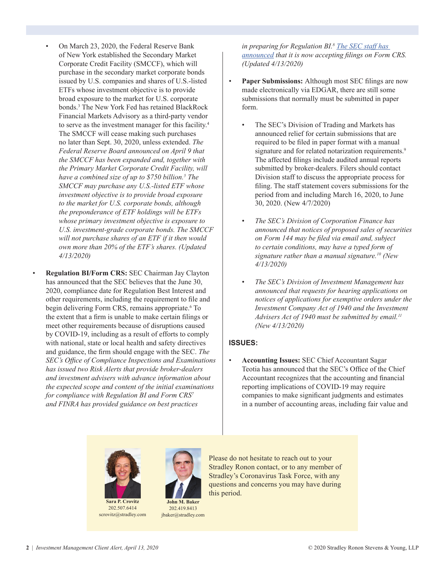- On March 23, 2020, the Federal Reserve Bank of New York established the Secondary Market Corporate Credit Facility (SMCCF), which will purchase in the secondary market corporate bonds issued by U.S. companies and shares of U.S.-listed ETFs whose investment objective is to provide broad exposure to the market for U.S. corporate bonds.3 The New York Fed has retained BlackRock Financial Markets Advisory as a third-party vendor to serve as the investment manager for this facility.4 The SMCCF will cease making such purchases no later than Sept. 30, 2020, unless extended. *The Federal Reserve Board announced on April 9 that the SMCCF has been expanded and, together with the Primary Market Corporate Credit Facility, will have a combined size of up to \$750 billion.<sup>5</sup> The SMCCF may purchase any U.S.-listed ETF whose investment objective is to provide broad exposure to the market for U.S. corporate bonds, although the preponderance of ETF holdings will be ETFs whose primary investment objective is exposure to U.S. investment-grade corporate bonds. The SMCCF will not purchase shares of an ETF if it then would own more than 20% of the ETF's shares. (Updated 4/13/2020)*
- **Regulation BI/Form CRS:** SEC Chairman Jay Clayton has announced that the SEC believes that the June 30, 2020, compliance date for Regulation Best Interest and other requirements, including the requirement to file and begin delivering Form CRS, remains appropriate.<sup>6</sup> To the extent that a firm is unable to make certain filings or meet other requirements because of disruptions caused by COVID-19, including as a result of efforts to comply with national, state or local health and safety directives and guidance, the firm should engage with the SEC. *The SEC's Office of Compliance Inspections and Examinations has issued two Risk Alerts that provide broker-dealers and investment advisers with advance information about the expected scope and content of the initial examinations for compliance with Regulation BI and Form CRS<sup>7</sup> and FINRA has provided guidance on best practices*

*in preparing for Regulation BI.<sup>8</sup> [The SEC staff has](https://www.sec.gov/investment/form-crs-faq#filing)  [announced](https://www.sec.gov/investment/form-crs-faq#filing) that it is now accepting filings on Form CRS. (Updated 4/13/2020)*

- **Paper Submissions:** Although most SEC filings are now made electronically via EDGAR, there are still some submissions that normally must be submitted in paper form.
	- The SEC's Division of Trading and Markets has announced relief for certain submissions that are required to be filed in paper format with a manual signature and for related notarization requirements.<sup>9</sup> The affected filings include audited annual reports submitted by broker-dealers. Filers should contact Division staff to discuss the appropriate process for filing. The staff statement covers submissions for the period from and including March 16, 2020, to June 30, 2020. (New 4/7/2020)
	- *The SEC's Division of Corporation Finance has announced that notices of proposed sales of securities on Form 144 may be filed via email and, subject to certain conditions, may have a typed form of signature rather than a manual signature.10 (New 4/13/2020)*
	- *The SEC's Division of Investment Management has announced that requests for hearing applications on notices of applications for exemptive orders under the Investment Company Act of 1940 and the Investment Advisers Act of 1940 must be submitted by email.<sup>11</sup> (New 4/13/2020)*

#### **ISSUES:**

• **Accounting Issues:** SEC Chief Accountant Sagar Teotia has announced that the SEC's Office of the Chief Accountant recognizes that the accounting and financial reporting implications of COVID-19 may require companies to make significant judgments and estimates in a number of accounting areas, including fair value and



202.507.6414 scrovitz@stradley.com



Please do not hesitate to reach out to your Stradley Ronon contact, or to any member of Stradley's Coronavirus Task Force, with any questions and concerns you may have during this period.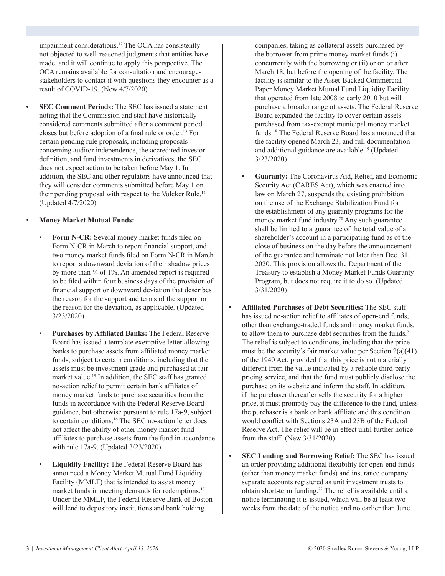impairment considerations.<sup>12</sup> The OCA has consistently not objected to well-reasoned judgments that entities have made, and it will continue to apply this perspective. The OCA remains available for consultation and encourages stakeholders to contact it with questions they encounter as a result of COVID-19. (New 4/7/2020)

**SEC Comment Periods:** The SEC has issued a statement noting that the Commission and staff have historically considered comments submitted after a comment period closes but before adoption of a final rule or order.13 For certain pending rule proposals, including proposals concerning auditor independence, the accredited investor definition, and fund investments in derivatives, the SEC does not expect action to be taken before May 1. In addition, the SEC and other regulators have announced that they will consider comments submitted before May 1 on their pending proposal with respect to the Volcker Rule.14 (Updated 4/7/2020)

#### • **Money Market Mutual Funds:**

- **Form N-CR:** Several money market funds filed on Form N-CR in March to report financial support, and two money market funds filed on Form N-CR in March to report a downward deviation of their shadow prices by more than ¼ of 1%. An amended report is required to be filed within four business days of the provision of financial support or downward deviation that describes the reason for the support and terms of the support or the reason for the deviation, as applicable. (Updated 3/23/2020)
- **Purchases by Affiliated Banks:** The Federal Reserve Board has issued a template exemptive letter allowing banks to purchase assets from affiliated money market funds, subject to certain conditions, including that the assets must be investment grade and purchased at fair market value.<sup>15</sup> In addition, the SEC staff has granted no-action relief to permit certain bank affiliates of money market funds to purchase securities from the funds in accordance with the Federal Reserve Board guidance, but otherwise pursuant to rule 17a-9, subject to certain conditions.<sup>16</sup> The SEC no-action letter does not affect the ability of other money market fund affiliates to purchase assets from the fund in accordance with rule 17a-9. (Updated 3/23/2020)
- **Liquidity Facility:** The Federal Reserve Board has announced a Money Market Mutual Fund Liquidity Facility (MMLF) that is intended to assist money market funds in meeting demands for redemptions.<sup>17</sup> Under the MMLF, the Federal Reserve Bank of Boston will lend to depository institutions and bank holding

companies, taking as collateral assets purchased by the borrower from prime money market funds (i) concurrently with the borrowing or (ii) or on or after March 18, but before the opening of the facility. The facility is similar to the Asset-Backed Commercial Paper Money Market Mutual Fund Liquidity Facility that operated from late 2008 to early 2010 but will purchase a broader range of assets. The Federal Reserve Board expanded the facility to cover certain assets purchased from tax-exempt municipal money market funds.18 The Federal Reserve Board has announced that the facility opened March 23, and full documentation and additional guidance are available.19 (Updated 3/23/2020)

- **Guaranty:** The Coronavirus Aid, Relief, and Economic Security Act (CARES Act), which was enacted into law on March 27, suspends the existing prohibition on the use of the Exchange Stabilization Fund for the establishment of any guaranty programs for the money market fund industry.20 Any such guarantee shall be limited to a guarantee of the total value of a shareholder's account in a participating fund as of the close of business on the day before the announcement of the guarantee and terminate not later than Dec. 31, 2020. This provision allows the Department of the Treasury to establish a Money Market Funds Guaranty Program, but does not require it to do so. (Updated 3/31/2020)
- **Affiliated Purchases of Debt Securities:** The SEC staff has issued no-action relief to affiliates of open-end funds, other than exchange-traded funds and money market funds, to allow them to purchase debt securities from the funds.<sup>21</sup> The relief is subject to conditions, including that the price must be the security's fair market value per Section 2(a)(41) of the 1940 Act, provided that this price is not materially different from the value indicated by a reliable third-party pricing service, and that the fund must publicly disclose the purchase on its website and inform the staff. In addition, if the purchaser thereafter sells the security for a higher price, it must promptly pay the difference to the fund, unless the purchaser is a bank or bank affiliate and this condition would conflict with Sections 23A and 23B of the Federal Reserve Act. The relief will be in effect until further notice from the staff. (New 3/31/2020)
- **SEC Lending and Borrowing Relief:** The SEC has issued an order providing additional flexibility for open-end funds (other than money market funds) and insurance company separate accounts registered as unit investment trusts to obtain short-term funding.22 The relief is available until a notice terminating it is issued, which will be at least two weeks from the date of the notice and no earlier than June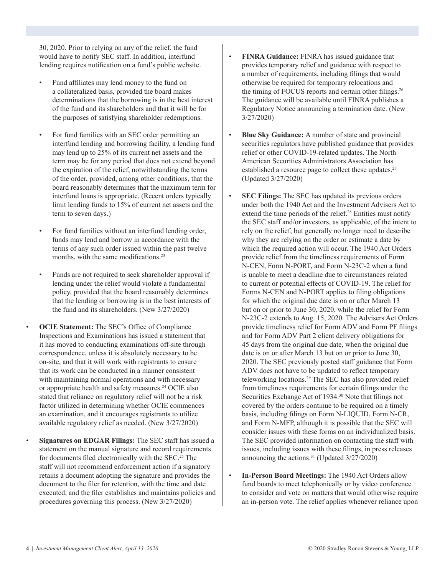30, 2020. Prior to relying on any of the relief, the fund would have to notify SEC staff. In addition, interfund lending requires notification on a fund's public website.

- Fund affiliates may lend money to the fund on a collateralized basis, provided the board makes determinations that the borrowing is in the best interest of the fund and its shareholders and that it will be for the purposes of satisfying shareholder redemptions.
- For fund families with an SEC order permitting an interfund lending and borrowing facility, a lending fund may lend up to 25% of its current net assets and the term may be for any period that does not extend beyond the expiration of the relief, notwithstanding the terms of the order, provided, among other conditions, that the board reasonably determines that the maximum term for interfund loans is appropriate. (Recent orders typically limit lending funds to 15% of current net assets and the term to seven days.)
- For fund families without an interfund lending order, funds may lend and borrow in accordance with the terms of any such order issued within the past twelve months, with the same modifications.<sup>23</sup>
- Funds are not required to seek shareholder approval if lending under the relief would violate a fundamental policy, provided that the board reasonably determines that the lending or borrowing is in the best interests of the fund and its shareholders. (New 3/27/2020)
- **OCIE Statement:** The SEC's Office of Compliance Inspections and Examinations has issued a statement that it has moved to conducting examinations off-site through correspondence, unless it is absolutely necessary to be on-site, and that it will work with registrants to ensure that its work can be conducted in a manner consistent with maintaining normal operations and with necessary or appropriate health and safety measures.<sup>24</sup> OCIE also stated that reliance on regulatory relief will not be a risk factor utilized in determining whether OCIE commences an examination, and it encourages registrants to utilize available regulatory relief as needed. (New 3/27/2020)
- **Signatures on EDGAR Filings:** The SEC staff has issued a statement on the manual signature and record requirements for documents filed electronically with the SEC.<sup>25</sup> The staff will not recommend enforcement action if a signatory retains a document adopting the signature and provides the document to the filer for retention, with the time and date executed, and the filer establishes and maintains policies and procedures governing this process. (New 3/27/2020)
- **FINRA Guidance:** FINRA has issued guidance that provides temporary relief and guidance with respect to a number of requirements, including filings that would otherwise be required for temporary relocations and the timing of FOCUS reports and certain other filings.<sup>26</sup> The guidance will be available until FINRA publishes a Regulatory Notice announcing a termination date. (New 3/27/2020)
- **Blue Sky Guidance:** A number of state and provincial securities regulators have published guidance that provides relief or other COVID-19-related updates. The North American Securities Administrators Association has established a resource page to collect these updates.<sup>27</sup> (Updated 3/27/2020)
- **SEC Filings:** The SEC has updated its previous orders under both the 1940 Act and the Investment Advisers Act to extend the time periods of the relief.<sup>28</sup> Entities must notify the SEC staff and/or investors, as applicable, of the intent to rely on the relief, but generally no longer need to describe why they are relying on the order or estimate a date by which the required action will occur. The 1940 Act Orders provide relief from the timeliness requirements of Form N-CEN, Form N-PORT, and Form N-23C-2 when a fund is unable to meet a deadline due to circumstances related to current or potential effects of COVID-19. The relief for Forms N-CEN and N-PORT applies to filing obligations for which the original due date is on or after March 13 but on or prior to June 30, 2020, while the relief for Form N-23C-2 extends to Aug. 15, 2020. The Advisers Act Orders provide timeliness relief for Form ADV and Form PF filings and for Form ADV Part 2 client delivery obligations for 45 days from the original due date, when the original due date is on or after March 13 but on or prior to June 30, 2020. The SEC previously posted staff guidance that Form ADV does not have to be updated to reflect temporary teleworking locations.29 The SEC has also provided relief from timeliness requirements for certain filings under the Securities Exchange Act of 1934.<sup>30</sup> Note that filings not covered by the orders continue to be required on a timely basis, including filings on Form N-LIQUID, Form N-CR, and Form N-MFP, although it is possible that the SEC will consider issues with these forms on an individualized basis. The SEC provided information on contacting the staff with issues, including issues with these filings, in press releases announcing the actions.<sup>31</sup> (Updated  $3/27/2020$ )
- **In-Person Board Meetings:** The 1940 Act Orders allow fund boards to meet telephonically or by video conference to consider and vote on matters that would otherwise require an in-person vote. The relief applies whenever reliance upon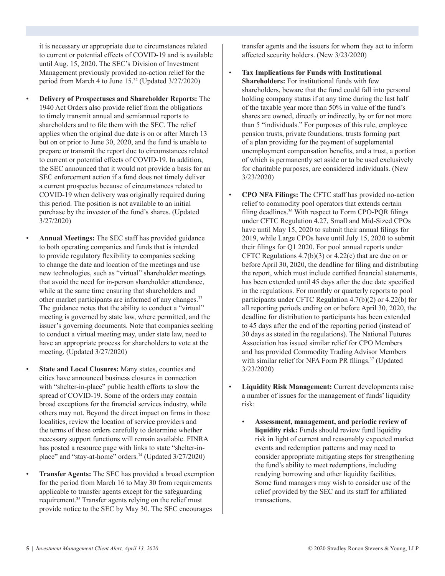it is necessary or appropriate due to circumstances related to current or potential effects of COVID-19 and is available until Aug. 15, 2020. The SEC's Division of Investment Management previously provided no-action relief for the period from March 4 to June 15.32 (Updated 3/27/2020)

- **Delivery of Prospectuses and Shareholder Reports:** The 1940 Act Orders also provide relief from the obligations to timely transmit annual and semiannual reports to shareholders and to file them with the SEC. The relief applies when the original due date is on or after March 13 but on or prior to June 30, 2020, and the fund is unable to prepare or transmit the report due to circumstances related to current or potential effects of COVID-19. In addition, the SEC announced that it would not provide a basis for an SEC enforcement action if a fund does not timely deliver a current prospectus because of circumstances related to COVID-19 when delivery was originally required during this period. The position is not available to an initial purchase by the investor of the fund's shares. (Updated 3/27/2020)
	- **Annual Meetings:** The SEC staff has provided guidance to both operating companies and funds that is intended to provide regulatory flexibility to companies seeking to change the date and location of the meetings and use new technologies, such as "virtual" shareholder meetings that avoid the need for in-person shareholder attendance, while at the same time ensuring that shareholders and other market participants are informed of any changes.33 The guidance notes that the ability to conduct a "virtual" meeting is governed by state law, where permitted, and the issuer's governing documents. Note that companies seeking to conduct a virtual meeting may, under state law, need to have an appropriate process for shareholders to vote at the meeting. (Updated 3/27/2020)

**State and Local Closures:** Many states, counties and cities have announced business closures in connection with "shelter-in-place" public health efforts to slow the spread of COVID-19. Some of the orders may contain broad exceptions for the financial services industry, while others may not. Beyond the direct impact on firms in those localities, review the location of service providers and the terms of these orders carefully to determine whether necessary support functions will remain available. FINRA has posted a resource page with links to state "shelter-inplace" and "stay-at-home" orders.<sup>34</sup> (Updated 3/27/2020)

• **Transfer Agents:** The SEC has provided a broad exemption for the period from March 16 to May 30 from requirements applicable to transfer agents except for the safeguarding requirement.35 Transfer agents relying on the relief must provide notice to the SEC by May 30. The SEC encourages

transfer agents and the issuers for whom they act to inform affected security holders. (New 3/23/2020)

- **Tax Implications for Funds with Institutional Shareholders:** For institutional funds with few shareholders, beware that the fund could fall into personal holding company status if at any time during the last half of the taxable year more than 50% in value of the fund's shares are owned, directly or indirectly, by or for not more than 5 "individuals." For purposes of this rule, employee pension trusts, private foundations, trusts forming part of a plan providing for the payment of supplemental unemployment compensation benefits, and a trust, a portion of which is permanently set aside or to be used exclusively for charitable purposes, are considered individuals. (New 3/23/2020)
- **CPO NFA Filings:** The CFTC staff has provided no-action relief to commodity pool operators that extends certain filing deadlines.<sup>36</sup> With respect to Form CPO-PQR filings under CFTC Regulation 4.27, Small and Mid-Sized CPOs have until May 15, 2020 to submit their annual filings for 2019, while Large CPOs have until July 15, 2020 to submit their filings for Q1 2020. For pool annual reports under CFTC Regulations  $4.7(b)(3)$  or  $4.22(c)$  that are due on or before April 30, 2020, the deadline for filing and distributing the report, which must include certified financial statements, has been extended until 45 days after the due date specified in the regulations. For monthly or quarterly reports to pool participants under CFTC Regulation 4.7(b)(2) or 4.22(b) for all reporting periods ending on or before April 30, 2020, the deadline for distribution to participants has been extended to 45 days after the end of the reporting period (instead of 30 days as stated in the regulations). The National Futures Association has issued similar relief for CPO Members and has provided Commodity Trading Advisor Members with similar relief for NFA Form PR filings.<sup>37</sup> (Updated 3/23/2020)
- **Liquidity Risk Management:** Current developments raise a number of issues for the management of funds' liquidity risk:
	- **Assessment, management, and periodic review of liquidity risk:** Funds should review fund liquidity risk in light of current and reasonably expected market events and redemption patterns and may need to consider appropriate mitigating steps for strengthening the fund's ability to meet redemptions, including readying borrowing and other liquidity facilities. Some fund managers may wish to consider use of the relief provided by the SEC and its staff for affiliated transactions.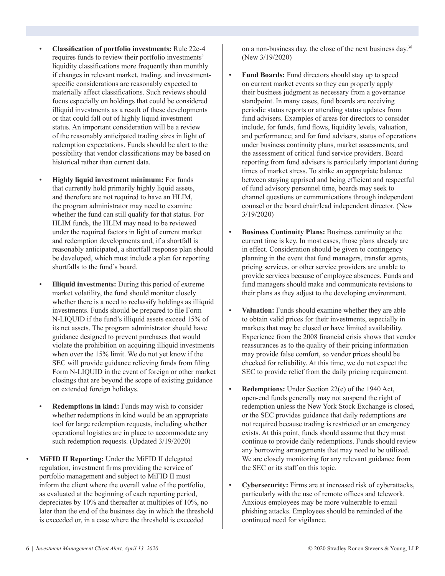- **Classification of portfolio investments:** Rule 22e-4 requires funds to review their portfolio investments' liquidity classifications more frequently than monthly if changes in relevant market, trading, and investmentspecific considerations are reasonably expected to materially affect classifications. Such reviews should focus especially on holdings that could be considered illiquid investments as a result of these developments or that could fall out of highly liquid investment status. An important consideration will be a review of the reasonably anticipated trading sizes in light of redemption expectations. Funds should be alert to the possibility that vendor classifications may be based on historical rather than current data.
- **Highly liquid investment minimum:** For funds that currently hold primarily highly liquid assets, and therefore are not required to have an HLIM, the program administrator may need to examine whether the fund can still qualify for that status. For HLIM funds, the HLIM may need to be reviewed under the required factors in light of current market and redemption developments and, if a shortfall is reasonably anticipated, a shortfall response plan should be developed, which must include a plan for reporting shortfalls to the fund's board.
- **Illiquid investments:** During this period of extreme market volatility, the fund should monitor closely whether there is a need to reclassify holdings as illiquid investments. Funds should be prepared to file Form N-LIQUID if the fund's illiquid assets exceed 15% of its net assets. The program administrator should have guidance designed to prevent purchases that would violate the prohibition on acquiring illiquid investments when over the 15% limit. We do not yet know if the SEC will provide guidance relieving funds from filing Form N-LIQUID in the event of foreign or other market closings that are beyond the scope of existing guidance on extended foreign holidays.
- **Redemptions in kind:** Funds may wish to consider whether redemptions in kind would be an appropriate tool for large redemption requests, including whether operational logistics are in place to accommodate any such redemption requests. (Updated 3/19/2020)
- **MiFID II Reporting:** Under the MiFID II delegated regulation, investment firms providing the service of portfolio management and subject to MiFID II must inform the client where the overall value of the portfolio, as evaluated at the beginning of each reporting period, depreciates by 10% and thereafter at multiples of 10%, no later than the end of the business day in which the threshold is exceeded or, in a case where the threshold is exceeded

on a non-business day, the close of the next business day.38 (New 3/19/2020)

- **Fund Boards:** Fund directors should stay up to speed on current market events so they can properly apply their business judgment as necessary from a governance standpoint. In many cases, fund boards are receiving periodic status reports or attending status updates from fund advisers. Examples of areas for directors to consider include, for funds, fund flows, liquidity levels, valuation, and performance; and for fund advisers, status of operations under business continuity plans, market assessments, and the assessment of critical fund service providers. Board reporting from fund advisers is particularly important during times of market stress. To strike an appropriate balance between staying apprised and being efficient and respectful of fund advisory personnel time, boards may seek to channel questions or communications through independent counsel or the board chair/lead independent director. (New 3/19/2020)
- **Business Continuity Plans:** Business continuity at the current time is key. In most cases, those plans already are in effect. Consideration should be given to contingency planning in the event that fund managers, transfer agents, pricing services, or other service providers are unable to provide services because of employee absences. Funds and fund managers should make and communicate revisions to their plans as they adjust to the developing environment.
- **Valuation:** Funds should examine whether they are able to obtain valid prices for their investments, especially in markets that may be closed or have limited availability. Experience from the 2008 financial crisis shows that vendor reassurances as to the quality of their pricing information may provide false comfort, so vendor prices should be checked for reliability. At this time, we do not expect the SEC to provide relief from the daily pricing requirement.
- **Redemptions:** Under Section 22(e) of the 1940 Act, open-end funds generally may not suspend the right of redemption unless the New York Stock Exchange is closed, or the SEC provides guidance that daily redemptions are not required because trading is restricted or an emergency exists. At this point, funds should assume that they must continue to provide daily redemptions. Funds should review any borrowing arrangements that may need to be utilized. We are closely monitoring for any relevant guidance from the SEC or its staff on this topic.
- **Cybersecurity:** Firms are at increased risk of cyberattacks, particularly with the use of remote offices and telework. Anxious employees may be more vulnerable to email phishing attacks. Employees should be reminded of the continued need for vigilance.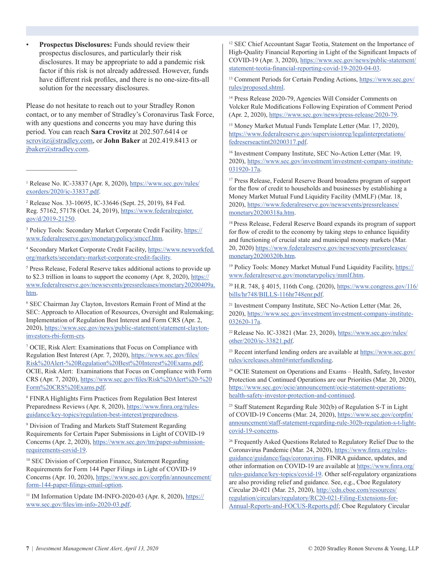• **Prospectus Disclosures:** Funds should review their prospectus disclosures, and particularly their risk disclosures. It may be appropriate to add a pandemic risk factor if this risk is not already addressed. However, funds have different risk profiles, and there is no one-size-fits-all solution for the necessary disclosures.

Please do not hesitate to reach out to your Stradley Ronon contact, or to any member of Stradley's Coronavirus Task Force, with any questions and concerns you may have during this period. You can reach **Sara Crovitz** at 202.507.6414 or [scrovitz@stradley.com,](mailto:scrovitz%40stradley.com?subject=) or **John Baker** at 202.419.8413 or [jbaker@stradley.com.](mailto:jbaker%40stradley.com?subject=)

<sup>1</sup> Release No. IC-33837 (Apr. 8, 2020), [https://www.sec.gov/rules/](https://www.sec.gov/rules/exorders/2020/ic-33837.pdf) [exorders/2020/ic-33837.pdf](https://www.sec.gov/rules/exorders/2020/ic-33837.pdf).

 $\mathcal{L}$  , we have the set of  $\mathcal{L}$ 

2 Release Nos. 33-10695, IC-33646 (Sept. 25, 2019), 84 Fed. Reg. 57162, 57178 (Oct. 24, 2019), [https://www.federalregister.](https://www.federalregister.gov/d/2019-21250) [gov/d/2019-21250](https://www.federalregister.gov/d/2019-21250).

<sup>3</sup> Policy Tools: Secondary Market Corporate Credit Facility, [https://](https://www.federalreserve.gov/monetarypolicy/smccf.htm) [www.federalreserve.gov/monetarypolicy/smccf.htm](https://www.federalreserve.gov/monetarypolicy/smccf.htm).

<sup>4</sup> Secondary Market Corporate Credit Facility, [https://www.newyorkfed.](https://www.newyorkfed.org/markets/secondary-market-corporate-credit-facility) [org/markets/secondary-market-corporate-credit-facility](https://www.newyorkfed.org/markets/secondary-market-corporate-credit-facility).

<sup>5</sup> Press Release, Federal Reserve takes additional actions to provide up to \$2.3 trillion in loans to support the economy (Apr. 8, 2020), [https://](https://www.federalreserve.gov/newsevents/pressreleases/monetary20200409a.htm) [www.federalreserve.gov/newsevents/pressreleases/monetary20200409a.](https://www.federalreserve.gov/newsevents/pressreleases/monetary20200409a.htm) [htm](https://www.federalreserve.gov/newsevents/pressreleases/monetary20200409a.htm).

6 SEC Chairman Jay Clayton, Investors Remain Front of Mind at the SEC: Approach to Allocation of Resources, Oversight and Rulemaking; Implementation of Regulation Best Interest and Form CRS (Apr. 2, 2020), [https://www.sec.gov/news/public-statement/statement-clayton](https://www.sec.gov/news/public-statement/statement-clayton-investors-rbi-form-crs)[investors-rbi-form-crs](https://www.sec.gov/news/public-statement/statement-clayton-investors-rbi-form-crs).

7 OCIE, Risk Alert: Examinations that Focus on Compliance with Regulation Best Interest (Apr. 7, 2020), [https://www.sec.gov/files/](https://www.sec.gov/files/Risk%20Alert-%20Regulation%20Best%20Interest%20Exams.pdf) [Risk%20Alert-%20Regulation%20Best%20Interest%20Exams.pdf;](https://www.sec.gov/files/Risk%20Alert-%20Regulation%20Best%20Interest%20Exams.pdf) OCIE, Risk Alert: Examinations that Focus on Compliance with Form CRS (Apr. 7, 2020), [https://www.sec.gov/files/Risk%20Alert%20-%20](https://www.sec.gov/files/Risk%20Alert%20-%20Form%20CRS%20Exams.pdf) [Form%20CRS%20Exams.pdf](https://www.sec.gov/files/Risk%20Alert%20-%20Form%20CRS%20Exams.pdf).

8 FINRA Highlights Firm Practices from Regulation Best Interest Preparedness Reviews (Apr. 8, 2020), [https://www.finra.org/rules](https://www.finra.org/rules-guidance/key-topics/regulation-best-interest/preparedness)[guidance/key-topics/regulation-best-interest/preparedness.](https://www.finra.org/rules-guidance/key-topics/regulation-best-interest/preparedness)

9 Division of Trading and Markets Staff Statement Regarding Requirements for Certain Paper Submissions in Light of COVID-19 Concerns (Apr. 2, 2020), [https://www.sec.gov/tm/paper-submission](https://www.sec.gov/tm/paper-submission-requirements-covid-19)[requirements-covid-19.](https://www.sec.gov/tm/paper-submission-requirements-covid-19)

<sup>10</sup> SEC Division of Corporation Finance, Statement Regarding Requirements for Form 144 Paper Filings in Light of COVID-19 Concerns (Apr. 10, 2020), [https://www.sec.gov/corpfin/announcement/](https://www.sec.gov/corpfin/announcement/form-144-paper-filings-email-option) [form-144-paper-filings-email-option](https://www.sec.gov/corpfin/announcement/form-144-paper-filings-email-option).

<sup>11</sup> IM Information Update IM-INFO-2020-03 (Apr. 8, 2020), [https://](https://www.sec.gov/files/im-info-2020-03.pdf) [www.sec.gov/files/im-info-2020-03.pdf](https://www.sec.gov/files/im-info-2020-03.pdf).

12 SEC Chief Accountant Sagar Teotia, Statement on the Importance of High-Quality Financial Reporting in Light of the Significant Impacts of COVID-19 (Apr. 3, 2020), [https://www.sec.gov/news/public-statement/](https://www.sec.gov/news/public-statement/statement-teotia-financial-reporting-covid-19-2020-04-03) [statement-teotia-financial-reporting-covid-19-2020-04-03](https://www.sec.gov/news/public-statement/statement-teotia-financial-reporting-covid-19-2020-04-03).

<sup>13</sup> Comment Periods for Certain Pending Actions, [https://www.sec.gov/](https://www.sec.gov/rules/proposed.shtml) [rules/proposed.shtml](https://www.sec.gov/rules/proposed.shtml).

14 Press Release 2020-79, Agencies Will Consider Comments on Volcker Rule Modifications Following Expiration of Comment Period (Apr. 2, 2020),<https://www.sec.gov/news/press-release/2020-79>.

<sup>15</sup> Money Market Mutual Funds Template Letter (Mar. 17, 2020), [https://www.federalreserve.gov/supervisionreg/legalinterpretations/](https://www.federalreserve.gov/supervisionreg/legalinterpretations/fedreserseactint20200317.pdf) [fedreserseactint20200317.pdf.](https://www.federalreserve.gov/supervisionreg/legalinterpretations/fedreserseactint20200317.pdf)

<sup>16</sup> Investment Company Institute, SEC No-Action Letter (Mar. 19, 2020), [https://www.sec.gov/investment/investment-company-institute-](https://www.sec.gov/investment/investment-company-institute-031920-17a)[031920-17a.](https://www.sec.gov/investment/investment-company-institute-031920-17a)

17 Press Release, Federal Reserve Board broadens program of support for the flow of credit to households and businesses by establishing a Money Market Mutual Fund Liquidity Facility (MMLF) (Mar. 18, 2020), [https://www.federalreserve.gov/newsevents/pressreleases/](https://www.federalreserve.gov/newsevents/pressreleases/monetary20200318a.htm) [monetary20200318a.htm](https://www.federalreserve.gov/newsevents/pressreleases/monetary20200318a.htm).

<sup>18</sup> Press Release, Federal Reserve Board expands its program of support for flow of credit to the economy by taking steps to enhance liquidity and functioning of crucial state and municipal money markets (Mar. 20, 2020) [https://www.federalreserve.gov/newsevents/pressreleases/](https://www.federalreserve.gov/newsevents/pressreleases/monetary20200320b.htm) [monetary20200320b.htm.](https://www.federalreserve.gov/newsevents/pressreleases/monetary20200320b.htm)

19 Policy Tools: Money Market Mutual Fund Liquidity Facility, [https://](https://www.federalreserve.gov/monetarypolicy/mmlf.htm) [www.federalreserve.gov/monetarypolicy/mmlf.htm](https://www.federalreserve.gov/monetarypolicy/mmlf.htm).

20 H.R. 748, § 4015, 116th Cong. (2020), [https://www.congress.gov/116/](https://www.congress.gov/116/bills/hr748/BILLS-116hr748enr.pdf) [bills/hr748/BILLS-116hr748enr.pdf.](https://www.congress.gov/116/bills/hr748/BILLS-116hr748enr.pdf)

<sup>21</sup> Investment Company Institute, SEC No-Action Letter (Mar. 26, 2020), [https://www.sec.gov/investment/investment-company-institute-](https://www.sec.gov/investment/investment-company-institute-032620-17a)[032620-17a.](https://www.sec.gov/investment/investment-company-institute-032620-17a)

22 Release No. IC-33821 (Mar. 23, 2020), [https://www.sec.gov/rules/](https://www.sec.gov/rules/other/2020/ic-33821.pdf) [other/2020/ic-33821.pdf.](https://www.sec.gov/rules/other/2020/ic-33821.pdf)

<sup>23</sup> Recent interfund lending orders are available at [https://www.sec.gov/](https://www.sec.gov/rules/icreleases.shtml#interfundlending) [rules/icreleases.shtml#interfundlending.](https://www.sec.gov/rules/icreleases.shtml#interfundlending)

24 OCIE Statement on Operations and Exams – Health, Safety, Investor Protection and Continued Operations are our Priorities (Mar. 20, 2020), [https://www.sec.gov/ocie/announcement/ocie-statement-operations](https://www.sec.gov/ocie/announcement/ocie-statement-operations-health-safety-investor-protection-and-continued)[health-safety-investor-protection-and-continued](https://www.sec.gov/ocie/announcement/ocie-statement-operations-health-safety-investor-protection-and-continued).

<sup>25</sup> Staff Statement Regarding Rule 302(b) of Regulation S-T in Light of COVID-19 Concerns (Mar. 24, 2020), [https://www.sec.gov/corpfin/](https://www.sec.gov/corpfin/announcement/staff-statement-regarding-rule-302b-regulation-s-t-light-covid-19-concerns) [announcement/staff-statement-regarding-rule-302b-regulation-s-t-light](https://www.sec.gov/corpfin/announcement/staff-statement-regarding-rule-302b-regulation-s-t-light-covid-19-concerns)[covid-19-concerns.](https://www.sec.gov/corpfin/announcement/staff-statement-regarding-rule-302b-regulation-s-t-light-covid-19-concerns)

<sup>26</sup> Frequently Asked Questions Related to Regulatory Relief Due to the Coronavirus Pandemic (Mar. 24, 2020), [https://www.finra.org/rules](https://www.finra.org/rules-guidance/guidance/faqs/coronavirus)[guidance/guidance/faqs/coronavirus.](https://www.finra.org/rules-guidance/guidance/faqs/coronavirus) FINRA guidance, updates, and other information on COVID-19 are available at [https://www.finra.org/](https://www.finra.org/rules-guidance/key-topics/covid-19) [rules-guidance/key-topics/covid-19](https://www.finra.org/rules-guidance/key-topics/covid-19). Other self-regulatory organizations are also providing relief and guidance. See, e.g., Cboe Regulatory Circular 20-021 (Mar. 25, 2020), [http://cdn.cboe.com/resources/](http://cdn.cboe.com/resources/regulation/circulars/regulatory/RC20-021-Filing-Extensions-for-Annual-Reports-and-FOCUS-Reports.pdf) [regulation/circulars/regulatory/RC20-021-Filing-Extensions-for-](http://cdn.cboe.com/resources/regulation/circulars/regulatory/RC20-021-Filing-Extensions-for-Annual-Reports-and-FOCUS-Reports.pdf)[Annual-Reports-and-FOCUS-Reports.pdf;](http://cdn.cboe.com/resources/regulation/circulars/regulatory/RC20-021-Filing-Extensions-for-Annual-Reports-and-FOCUS-Reports.pdf) Cboe Regulatory Circular